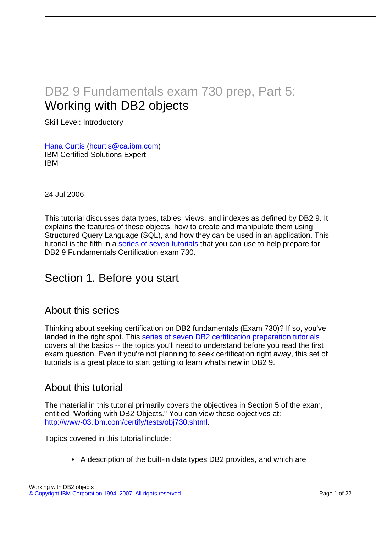# DB2 9 Fundamentals exam 730 prep, Part 5: Working with DB2 objects

Skill Level: Introductory

[Hana Curtis](#page-21-0) ([hcurtis@ca.ibm.com](mailto:hcurtis@ca.ibm.com)) IBM Certified Solutions Expert IBM

24 Jul 2006

This tutorial discusses data types, tables, views, and indexes as defined by DB2 9. It explains the features of these objects, how to create and manipulate them using Structured Query Language (SQL), and how they can be used in an application. This tutorial is the fifth in a [series of seven tutorials](http://www.ibm.com/developerworks/offers/lp/db2cert/db2-cert730.html?S_TACT=105AGX19&S_CMP=db2cert) that you can use to help prepare for DB2 9 Fundamentals Certification exam 730.

# Section 1. Before you start

#### About this series

Thinking about seeking certification on DB2 fundamentals (Exam 730)? If so, you've landed in the right spot. This [series of seven DB2 certification preparation tutorials](http://www.ibm.com/developerworks/offers/lp/db2cert/db2-cert730.html?S_TACT=105AGX19&S_CMP=db2cert) covers all the basics -- the topics you'll need to understand before you read the first exam question. Even if you're not planning to seek certification right away, this set of tutorials is a great place to start getting to learn what's new in DB2 9.

#### About this tutorial

The material in this tutorial primarily covers the objectives in Section 5 of the exam, entitled "Working with DB2 Objects." You can view these objectives at: <http://www-03.ibm.com/certify/tests/obj730.shtml>.

Topics covered in this tutorial include:

• A description of the built-in data types DB2 provides, and which are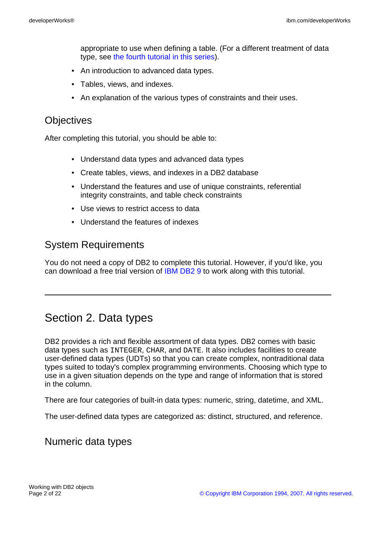appropriate to use when defining a table. (For a different treatment of data type, see [the fourth tutorial in this series\)](http://www.ibm.com/developerworks/offers/lp/db2cert/db2-cert730.html?S_TACT=105AGX19&S_CMP=db2cert).

- An introduction to advanced data types.
- Tables, views, and indexes.
- An explanation of the various types of constraints and their uses.

### **Objectives**

After completing this tutorial, you should be able to:

- Understand data types and advanced data types
- Create tables, views, and indexes in a DB2 database
- Understand the features and use of unique constraints, referential integrity constraints, and table check constraints
- Use views to restrict access to data
- Understand the features of indexes

#### System Requirements

You do not need a copy of DB2 to complete this tutorial. However, if you'd like, you can download a free trial version of [IBM DB2 9](http://www.ibm.com/developerworks/downloads/im/udb/?S_TACT=105AGX19&S_CMP=db2cert) to work along with this tutorial.

# Section 2. Data types

DB2 provides a rich and flexible assortment of data types. DB2 comes with basic data types such as INTEGER, CHAR, and DATE. It also includes facilities to create user-defined data types (UDTs) so that you can create complex, nontraditional data types suited to today's complex programming environments. Choosing which type to use in a given situation depends on the type and range of information that is stored in the column.

There are four categories of built-in data types: numeric, string, datetime, and XML.

The user-defined data types are categorized as: distinct, structured, and reference.

#### Numeric data types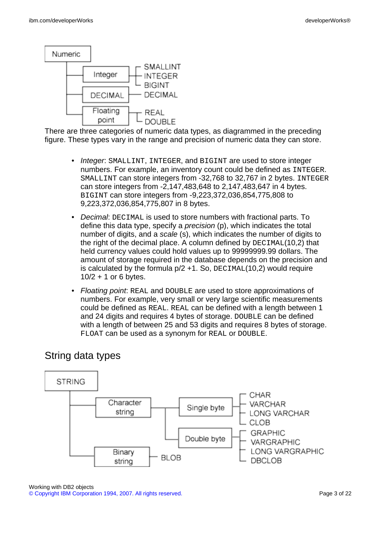

There are three categories of numeric data types, as diagrammed in the preceding figure. These types vary in the range and precision of numeric data they can store.

- Integer: SMALLINT, INTEGER, and BIGINT are used to store integer numbers. For example, an inventory count could be defined as INTEGER. SMALLINT can store integers from -32,768 to 32,767 in 2 bytes. INTEGER can store integers from -2,147,483,648 to 2,147,483,647 in 4 bytes. BIGINT can store integers from -9,223,372,036,854,775,808 to 9,223,372,036,854,775,807 in 8 bytes.
- Decimal: DECIMAL is used to store numbers with fractional parts. To define this data type, specify a precision (p), which indicates the total number of digits, and a scale (s), which indicates the number of digits to the right of the decimal place. A column defined by DECIMAL(10,2) that held currency values could hold values up to 99999999.99 dollars. The amount of storage required in the database depends on the precision and is calculated by the formula  $p/2 + 1$ . So, DECIMAL(10,2) would require 10/2 + 1 or 6 bytes.
- Floating point: REAL and DOUBLE are used to store approximations of numbers. For example, very small or very large scientific measurements could be defined as REAL. REAL can be defined with a length between 1 and 24 digits and requires 4 bytes of storage. DOUBLE can be defined with a length of between 25 and 53 digits and requires 8 bytes of storage. FLOAT can be used as a synonym for REAL or DOUBLE.

## String data types



Working with DB2 objects [© Copyright IBM Corporation 1994, 2007. All rights reserved.](http://www.ibm.com/legal/copytrade.shtml) Page 3 of 22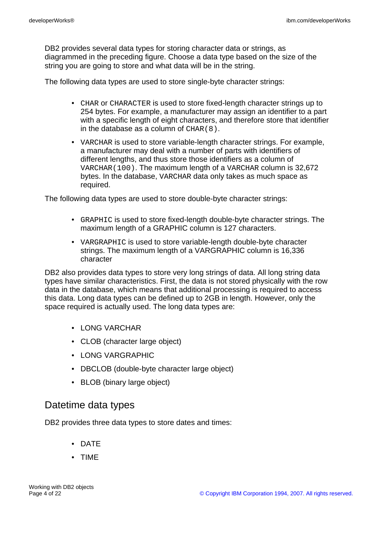DB2 provides several data types for storing character data or strings, as diagrammed in the preceding figure. Choose a data type based on the size of the string you are going to store and what data will be in the string.

The following data types are used to store single-byte character strings:

- CHAR or CHARACTER is used to store fixed-length character strings up to 254 bytes. For example, a manufacturer may assign an identifier to a part with a specific length of eight characters, and therefore store that identifier in the database as a column of  $CHAR(8)$ .
- VARCHAR is used to store variable-length character strings. For example, a manufacturer may deal with a number of parts with identifiers of different lengths, and thus store those identifiers as a column of VARCHAR(100). The maximum length of a VARCHAR column is 32,672 bytes. In the database, VARCHAR data only takes as much space as required.

The following data types are used to store double-byte character strings:

- GRAPHIC is used to store fixed-length double-byte character strings. The maximum length of a GRAPHIC column is 127 characters.
- VARGRAPHIC is used to store variable-length double-byte character strings. The maximum length of a VARGRAPHIC column is 16,336 character

DB2 also provides data types to store very long strings of data. All long string data types have similar characteristics. First, the data is not stored physically with the row data in the database, which means that additional processing is required to access this data. Long data types can be defined up to 2GB in length. However, only the space required is actually used. The long data types are:

- LONG VARCHAR
- CLOB (character large object)
- LONG VARGRAPHIC
- DBCLOB (double-byte character large object)
- BLOB (binary large object)

#### Datetime data types

DB2 provides three data types to store dates and times:

- DATE
- TIME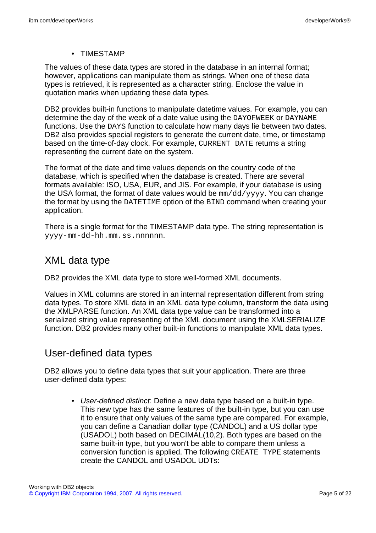• TIMESTAMP

The values of these data types are stored in the database in an internal format; however, applications can manipulate them as strings. When one of these data types is retrieved, it is represented as a character string. Enclose the value in quotation marks when updating these data types.

DB2 provides built-in functions to manipulate datetime values. For example, you can determine the day of the week of a date value using the DAYOFWEEK or DAYNAME functions. Use the DAYS function to calculate how many days lie between two dates. DB2 also provides special registers to generate the current date, time, or timestamp based on the time-of-day clock. For example, CURRENT DATE returns a string representing the current date on the system.

The format of the date and time values depends on the country code of the database, which is specified when the database is created. There are several formats available: ISO, USA, EUR, and JIS. For example, if your database is using the USA format, the format of date values would be  $mm/dd/yyyy$ . You can change the format by using the DATETIME option of the BIND command when creating your application.

There is a single format for the TIMESTAMP data type. The string representation is yyyy-mm-dd-hh.mm.ss.nnnnnn.

### XML data type

DB2 provides the XML data type to store well-formed XML documents.

Values in XML columns are stored in an internal representation different from string data types. To store XML data in an XML data type column, transform the data using the XMLPARSE function. An XML data type value can be transformed into a serialized string value representing of the XML document using the XMLSERIALIZE function. DB2 provides many other built-in functions to manipulate XML data types.

## User-defined data types

DB2 allows you to define data types that suit your application. There are three user-defined data types:

• User-defined distinct: Define a new data type based on a built-in type. This new type has the same features of the built-in type, but you can use it to ensure that only values of the same type are compared. For example, you can define a Canadian dollar type (CANDOL) and a US dollar type (USADOL) both based on DECIMAL(10,2). Both types are based on the same built-in type, but you won't be able to compare them unless a conversion function is applied. The following CREATE TYPE statements create the CANDOL and USADOL UDTs: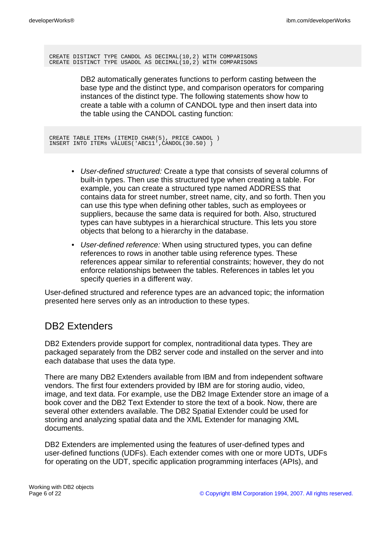CREATE DISTINCT TYPE CANDOL AS DECIMAL(10,2) WITH COMPARISONS CREATE DISTINCT TYPE USADOL AS DECIMAL(10,2) WITH COMPARISONS

> DB2 automatically generates functions to perform casting between the base type and the distinct type, and comparison operators for comparing instances of the distinct type. The following statements show how to create a table with a column of CANDOL type and then insert data into the table using the CANDOL casting function:

CREATE TABLE ITEMs (ITEMID CHAR(5), PRICE CANDOL ) INSERT INTO ITEMs VALUES('ABC11',CANDOL(30.50) )

- User-defined structured: Create a type that consists of several columns of built-in types. Then use this structured type when creating a table. For example, you can create a structured type named ADDRESS that contains data for street number, street name, city, and so forth. Then you can use this type when defining other tables, such as employees or suppliers, because the same data is required for both. Also, structured types can have subtypes in a hierarchical structure. This lets you store objects that belong to a hierarchy in the database.
- User-defined reference: When using structured types, you can define references to rows in another table using reference types. These references appear similar to referential constraints; however, they do not enforce relationships between the tables. References in tables let you specify queries in a different way.

User-defined structured and reference types are an advanced topic; the information presented here serves only as an introduction to these types.

# DB2 Extenders

DB2 Extenders provide support for complex, nontraditional data types. They are packaged separately from the DB2 server code and installed on the server and into each database that uses the data type.

There are many DB2 Extenders available from IBM and from independent software vendors. The first four extenders provided by IBM are for storing audio, video, image, and text data. For example, use the DB2 Image Extender store an image of a book cover and the DB2 Text Extender to store the text of a book. Now, there are several other extenders available. The DB2 Spatial Extender could be used for storing and analyzing spatial data and the XML Extender for managing XML documents.

DB2 Extenders are implemented using the features of user-defined types and user-defined functions (UDFs). Each extender comes with one or more UDTs, UDFs for operating on the UDT, specific application programming interfaces (APIs), and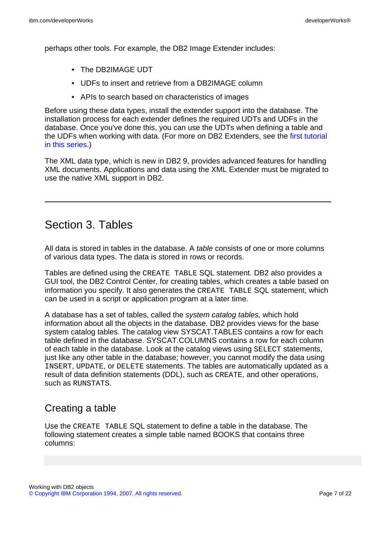perhaps other tools. For example, the DB2 Image Extender includes:

- The DB2IMAGE UDT
- UDFs to insert and retrieve from a DB2IMAGE column
- APIs to search based on characteristics of images

Before using these data types, install the extender support into the database. The installation process for each extender defines the required UDTs and UDFs in the database. Once you've done this, you can use the UDTs when defining a table and the UDFs when working with data. (For more on DB2 Extenders, see the [first tutorial](http://www.ibm.com/developerworks/offers/lp/db2cert/db2-cert730.html?S_TACT=105AGX19&S_CMP=db2cert) [in this series.](http://www.ibm.com/developerworks/offers/lp/db2cert/db2-cert730.html?S_TACT=105AGX19&S_CMP=db2cert))

The XML data type, which is new in DB2 9, provides advanced features for handling XML documents. Applications and data using the XML Extender must be migrated to use the native XML support in DB2.

# Section 3. Tables

All data is stored in tables in the database. A *table* consists of one or more columns of various data types. The data is stored in rows or records.

Tables are defined using the CREATE TABLE SQL statement. DB2 also provides a GUI tool, the DB2 Control Center, for creating tables, which creates a table based on information you specify. It also generates the CREATE TABLE SQL statement, which can be used in a script or application program at a later time.

A database has a set of tables, called the system catalog tables, which hold information about all the objects in the database. DB2 provides views for the base system catalog tables. The catalog view SYSCAT.TABLES contains a row for each table defined in the database. SYSCAT.COLUMNS contains a row for each column of each table in the database. Look at the catalog views using SELECT statements, just like any other table in the database; however, you cannot modify the data using INSERT, UPDATE, or DELETE statements. The tables are automatically updated as a result of data definition statements (DDL), such as CREATE, and other operations, such as RUNSTATS.

## Creating a table

Use the CREATE TABLE SQL statement to define a table in the database. The following statement creates a simple table named BOOKS that contains three columns: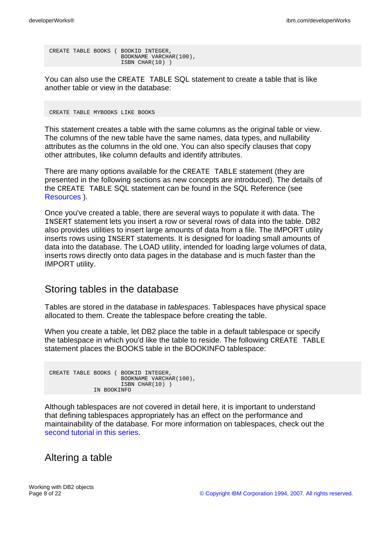CREATE TABLE BOOKS ( BOOKID INTEGER, BOOKNAME VARCHAR(100), ISBN CHAR(10) )

You can also use the CREATE TABLE SQL statement to create a table that is like another table or view in the database:

CREATE TABLE MYBOOKS LIKE BOOKS

This statement creates a table with the same columns as the original table or view. The columns of the new table have the same names, data types, and nullability attributes as the columns in the old one. You can also specify clauses that copy other attributes, like column defaults and identify attributes.

There are many options available for the CREATE TABLE statement (they are presented in the following sections as new concepts are introduced). The details of the CREATE TABLE SQL statement can be found in the SQL Reference (see [Resources](#page-21-1) ).

Once you've created a table, there are several ways to populate it with data. The INSERT statement lets you insert a row or several rows of data into the table. DB2 also provides utilities to insert large amounts of data from a file. The IMPORT utility inserts rows using INSERT statements. It is designed for loading small amounts of data into the database. The LOAD utility, intended for loading large volumes of data, inserts rows directly onto data pages in the database and is much faster than the IMPORT utility.

### Storing tables in the database

Tables are stored in the database in tablespaces. Tablespaces have physical space allocated to them. Create the tablespace before creating the table.

When you create a table, let DB2 place the table in a default tablespace or specify the tablespace in which you'd like the table to reside. The following CREATE TABLE statement places the BOOKS table in the BOOKINFO tablespace:

CREATE TABLE BOOKS ( BOOKID INTEGER, BOOKNAME VARCHAR(100), ISBN CHAR(10) ) IN BOOKINFO

Although tablespaces are not covered in detail here, it is important to understand that defining tablespaces appropriately has an effect on the performance and maintainability of the database. For more information on tablespaces, check out the [second tutorial in this series.](http://www.ibm.com/developerworks/offers/lp/db2cert/db2-cert730.html?S_TACT=105AGX19&S_CMP=db2cert)

### Altering a table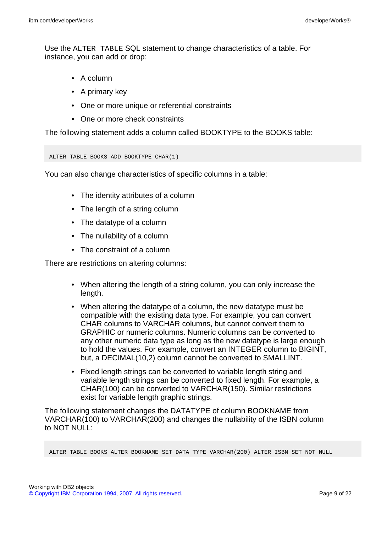Use the ALTER TABLE SQL statement to change characteristics of a table. For instance, you can add or drop:

- A column
- A primary key
- One or more unique or referential constraints
- One or more check constraints

The following statement adds a column called BOOKTYPE to the BOOKS table:

```
ALTER TABLE BOOKS ADD BOOKTYPE CHAR(1)
```
You can also change characteristics of specific columns in a table:

- The identity attributes of a column
- The length of a string column
- The datatype of a column
- The nullability of a column
- The constraint of a column

There are restrictions on altering columns:

- When altering the length of a string column, you can only increase the length.
- When altering the datatype of a column, the new datatype must be compatible with the existing data type. For example, you can convert CHAR columns to VARCHAR columns, but cannot convert them to GRAPHIC or numeric columns. Numeric columns can be converted to any other numeric data type as long as the new datatype is large enough to hold the values. For example, convert an INTEGER column to BIGINT, but, a DECIMAL(10,2) column cannot be converted to SMALLINT.
- Fixed length strings can be converted to variable length string and variable length strings can be converted to fixed length. For example, a CHAR(100) can be converted to VARCHAR(150). Similar restrictions exist for variable length graphic strings.

The following statement changes the DATATYPE of column BOOKNAME from VARCHAR(100) to VARCHAR(200) and changes the nullability of the ISBN column to NOT NULL:

ALTER TABLE BOOKS ALTER BOOKNAME SET DATA TYPE VARCHAR(200) ALTER ISBN SET NOT NULL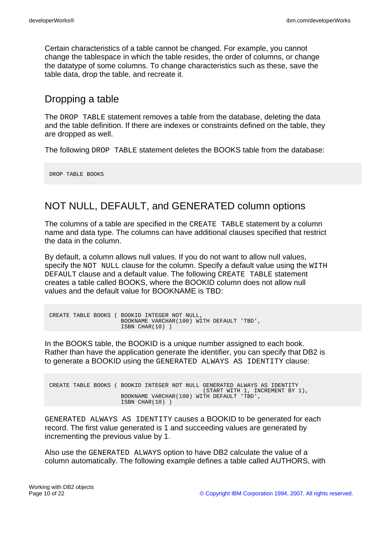Certain characteristics of a table cannot be changed. For example, you cannot change the tablespace in which the table resides, the order of columns, or change the datatype of some columns. To change characteristics such as these, save the table data, drop the table, and recreate it.

### Dropping a table

The DROP TABLE statement removes a table from the database, deleting the data and the table definition. If there are indexes or constraints defined on the table, they are dropped as well.

The following DROP TABLE statement deletes the BOOKS table from the database:

DROP TABLE BOOKS

## NOT NULL, DEFAULT, and GENERATED column options

The columns of a table are specified in the CREATE TABLE statement by a column name and data type. The columns can have additional clauses specified that restrict the data in the column.

By default, a column allows null values. If you do not want to allow null values, specify the NOT NULL clause for the column. Specify a default value using the WITH DEFAULT clause and a default value. The following CREATE TABLE statement creates a table called BOOKS, where the BOOKID column does not allow null values and the default value for BOOKNAME is TBD:

```
CREATE TABLE BOOKS ( BOOKID INTEGER NOT NULL,
                     BOOKNAME VARCHAR(100) WITH DEFAULT 'TBD',
                     ISBN CHAR(10) )
```
In the BOOKS table, the BOOKID is a unique number assigned to each book. Rather than have the application generate the identifier, you can specify that DB2 is to generate a BOOKID using the GENERATED ALWAYS AS IDENTITY clause:

```
CREATE TABLE BOOKS ( BOOKID INTEGER NOT NULL GENERATED ALWAYS AS IDENTITY
                                             (START WITH 1, INCREMENT BY 1),
                     BOOKNAME VARCHAR(100) WITH DEFAULT 'TBD',
                     ISBN CHAR(10) )
```
GENERATED ALWAYS AS IDENTITY causes a BOOKID to be generated for each record. The first value generated is 1 and succeeding values are generated by incrementing the previous value by 1.

Also use the GENERATED ALWAYS option to have DB2 calculate the value of a column automatically. The following example defines a table called AUTHORS, with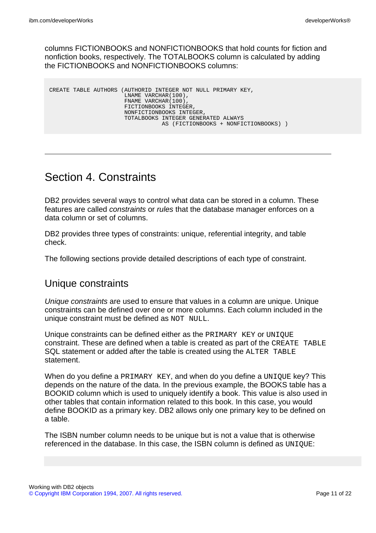columns FICTIONBOOKS and NONFICTIONBOOKS that hold counts for fiction and nonfiction books, respectively. The TOTALBOOKS column is calculated by adding the FICTIONBOOKS and NONFICTIONBOOKS columns:

|  | CREATE TABLE AUTHORS (AUTHORID INTEGER NOT NULL PRIMARY KEY, |
|--|--------------------------------------------------------------|
|  | LNAME VARCHAR (100).                                         |
|  | FNAME VARCHAR (100).                                         |
|  | FICTIONBOOKS INTEGER,                                        |
|  | NONFICTIONBOOKS INTEGER,                                     |
|  | TOTALBOOKS INTEGER GENERATED ALWAYS                          |
|  | AS (FICTIONBOOKS + NONFICTIONBOOKS))                         |
|  |                                                              |

# Section 4. Constraints

DB2 provides several ways to control what data can be stored in a column. These features are called constraints or rules that the database manager enforces on a data column or set of columns.

DB2 provides three types of constraints: unique, referential integrity, and table check.

The following sections provide detailed descriptions of each type of constraint.

### Unique constraints

Unique constraints are used to ensure that values in a column are unique. Unique constraints can be defined over one or more columns. Each column included in the unique constraint must be defined as NOT NULL.

Unique constraints can be defined either as the PRIMARY KEY or UNIQUE constraint. These are defined when a table is created as part of the CREATE TABLE SQL statement or added after the table is created using the ALTER TABLE statement.

When do you define a PRIMARY KEY, and when do you define a UNIQUE key? This depends on the nature of the data. In the previous example, the BOOKS table has a BOOKID column which is used to uniquely identify a book. This value is also used in other tables that contain information related to this book. In this case, you would define BOOKID as a primary key. DB2 allows only one primary key to be defined on a table.

The ISBN number column needs to be unique but is not a value that is otherwise referenced in the database. In this case, the ISBN column is defined as UNIQUE: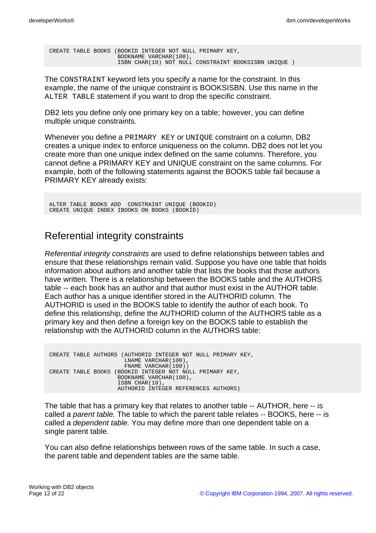CREATE TABLE BOOKS (BOOKID INTEGER NOT NULL PRIMARY KEY, BOOKNAME VARCHAR(100), ISBN CHAR(10) NOT NULL CONSTRAINT BOOKSISBN UNIQUE )

The CONSTRAINT keyword lets you specify a name for the constraint. In this example, the name of the unique constraint is BOOKSISBN. Use this name in the ALTER TABLE statement if you want to drop the specific constraint.

DB2 lets you define only one primary key on a table; however, you can define multiple unique constraints.

Whenever you define a PRIMARY KEY or UNIQUE constraint on a column, DB2 creates a unique index to enforce uniqueness on the column. DB2 does not let you create more than one unique index defined on the same columns. Therefore, you cannot define a PRIMARY KEY and UNIQUE constraint on the same columns. For example, both of the following statements against the BOOKS table fail because a PRIMARY KEY already exists:

ALTER TABLE BOOKS ADD CONSTRAINT UNIQUE (BOOKID) CREATE UNIQUE INDEX IBOOKS ON BOOKS (BOOKID)

### Referential integrity constraints

Referential integrity constraints are used to define relationships between tables and ensure that these relationships remain valid. Suppose you have one table that holds information about authors and another table that lists the books that those authors have written. There is a relationship between the BOOKS table and the AUTHORS table -- each book has an author and that author must exist in the AUTHOR table. Each author has a unique identifier stored in the AUTHORID column. The AUTHORID is used in the BOOKS table to identify the author of each book. To define this relationship, define the AUTHORID column of the AUTHORS table as a primary key and then define a foreign key on the BOOKS table to establish the relationship with the AUTHORID column in the AUTHORS table:

CREATE TABLE AUTHORS (AUTHORID INTEGER NOT NULL PRIMARY KEY, LNAME VARCHAR(100), FNAME VARCHAR(100)) CREATE TABLE BOOKS (BOOKID INTEGER NOT NULL PRIMARY KEY, BOOKNAME VARCHAR(100), ISBN CHAR(10), AUTHORID INTEGER REFERENCES AUTHORS)

The table that has a primary key that relates to another table -- AUTHOR, here -- is called a parent table. The table to which the parent table relates -- BOOKS, here -- is called a dependent table. You may define more than one dependent table on a single parent table.

You can also define relationships between rows of the same table. In such a case, the parent table and dependent tables are the same table.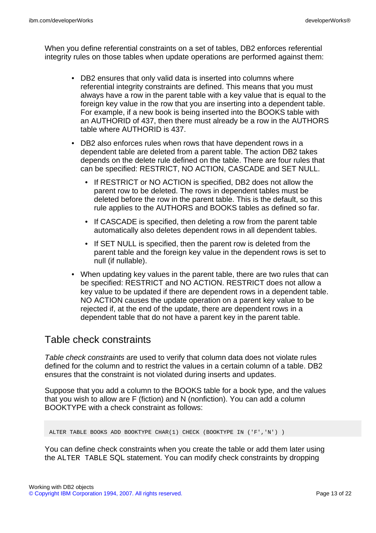When you define referential constraints on a set of tables, DB2 enforces referential integrity rules on those tables when update operations are performed against them:

- DB2 ensures that only valid data is inserted into columns where referential integrity constraints are defined. This means that you must always have a row in the parent table with a key value that is equal to the foreign key value in the row that you are inserting into a dependent table. For example, if a new book is being inserted into the BOOKS table with an AUTHORID of 437, then there must already be a row in the AUTHORS table where AUTHORID is 437.
- DB2 also enforces rules when rows that have dependent rows in a dependent table are deleted from a parent table. The action DB2 takes depends on the delete rule defined on the table. There are four rules that can be specified: RESTRICT, NO ACTION, CASCADE and SET NULL.
	- If RESTRICT or NO ACTION is specified, DB2 does not allow the parent row to be deleted. The rows in dependent tables must be deleted before the row in the parent table. This is the default, so this rule applies to the AUTHORS and BOOKS tables as defined so far.
	- If CASCADE is specified, then deleting a row from the parent table automatically also deletes dependent rows in all dependent tables.
	- If SET NULL is specified, then the parent row is deleted from the parent table and the foreign key value in the dependent rows is set to null (if nullable).
- When updating key values in the parent table, there are two rules that can be specified: RESTRICT and NO ACTION. RESTRICT does not allow a key value to be updated if there are dependent rows in a dependent table. NO ACTION causes the update operation on a parent key value to be rejected if, at the end of the update, there are dependent rows in a dependent table that do not have a parent key in the parent table.

### Table check constraints

Table check constraints are used to verify that column data does not violate rules defined for the column and to restrict the values in a certain column of a table. DB2 ensures that the constraint is not violated during inserts and updates.

Suppose that you add a column to the BOOKS table for a book type, and the values that you wish to allow are F (fiction) and N (nonfiction). You can add a column BOOKTYPE with a check constraint as follows:

ALTER TABLE BOOKS ADD BOOKTYPE CHAR(1) CHECK (BOOKTYPE IN ('F','N') )

You can define check constraints when you create the table or add them later using the ALTER TABLE SQL statement. You can modify check constraints by dropping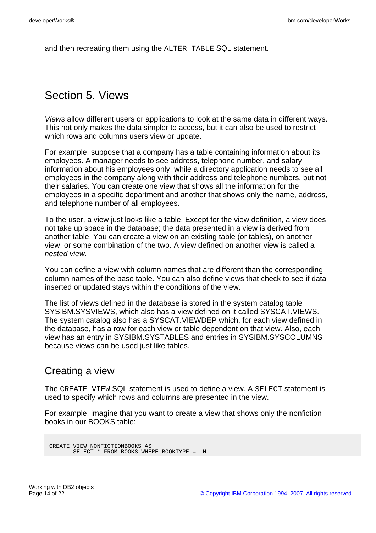and then recreating them using the ALTER TABLE SQL statement.

# Section 5. Views

Views allow different users or applications to look at the same data in different ways. This not only makes the data simpler to access, but it can also be used to restrict which rows and columns users view or update.

For example, suppose that a company has a table containing information about its employees. A manager needs to see address, telephone number, and salary information about his employees only, while a directory application needs to see all employees in the company along with their address and telephone numbers, but not their salaries. You can create one view that shows all the information for the employees in a specific department and another that shows only the name, address, and telephone number of all employees.

To the user, a view just looks like a table. Except for the view definition, a view does not take up space in the database; the data presented in a view is derived from another table. You can create a view on an existing table (or tables), on another view, or some combination of the two. A view defined on another view is called a nested view.

You can define a view with column names that are different than the corresponding column names of the base table. You can also define views that check to see if data inserted or updated stays within the conditions of the view.

The list of views defined in the database is stored in the system catalog table SYSIBM.SYSVIEWS, which also has a view defined on it called SYSCAT.VIEWS. The system catalog also has a SYSCAT.VIEWDEP which, for each view defined in the database, has a row for each view or table dependent on that view. Also, each view has an entry in SYSIBM.SYSTABLES and entries in SYSIBM.SYSCOLUMNS because views can be used just like tables.

### Creating a view

The CREATE VIEW SQL statement is used to define a view. A SELECT statement is used to specify which rows and columns are presented in the view.

For example, imagine that you want to create a view that shows only the nonfiction books in our BOOKS table:

```
CREATE VIEW NONFICTIONBOOKS AS
       SELECT * FROM BOOKS WHERE BOOKTYPE = 'N'
```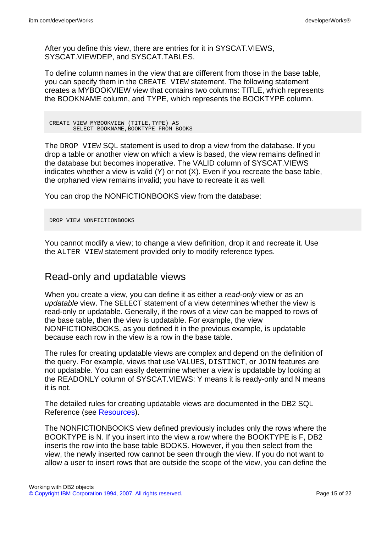After you define this view, there are entries for it in SYSCAT.VIEWS, SYSCAT.VIEWDEP, and SYSCAT.TABLES.

To define column names in the view that are different from those in the base table, you can specify them in the CREATE VIEW statement. The following statement creates a MYBOOKVIEW view that contains two columns: TITLE, which represents the BOOKNAME column, and TYPE, which represents the BOOKTYPE column.

CREATE VIEW MYBOOKVIEW (TITLE,TYPE) AS SELECT BOOKNAME, BOOKTYPE FROM BOOKS

The DROP VIEW SQL statement is used to drop a view from the database. If you drop a table or another view on which a view is based, the view remains defined in the database but becomes inoperative. The VALID column of SYSCAT.VIEWS indicates whether a view is valid (Y) or not (X). Even if you recreate the base table, the orphaned view remains invalid; you have to recreate it as well.

You can drop the NONFICTIONBOOKS view from the database:

DROP VIEW NONFICTIONBOOKS

You cannot modify a view; to change a view definition, drop it and recreate it. Use the ALTER VIEW statement provided only to modify reference types.

#### Read-only and updatable views

When you create a view, you can define it as either a read-only view or as an updatable view. The SELECT statement of a view determines whether the view is read-only or updatable. Generally, if the rows of a view can be mapped to rows of the base table, then the view is updatable. For example, the view NONFICTIONBOOKS, as you defined it in the previous example, is updatable because each row in the view is a row in the base table.

The rules for creating updatable views are complex and depend on the definition of the query. For example, views that use VALUES, DISTINCT, or JOIN features are not updatable. You can easily determine whether a view is updatable by looking at the READONLY column of SYSCAT.VIEWS: Y means it is ready-only and N means it is not.

The detailed rules for creating updatable views are documented in the DB2 SQL Reference (see [Resources\)](#page-21-1).

The NONFICTIONBOOKS view defined previously includes only the rows where the BOOKTYPE is N. If you insert into the view a row where the BOOKTYPE is F, DB2 inserts the row into the base table BOOKS. However, if you then select from the view, the newly inserted row cannot be seen through the view. If you do not want to allow a user to insert rows that are outside the scope of the view, you can define the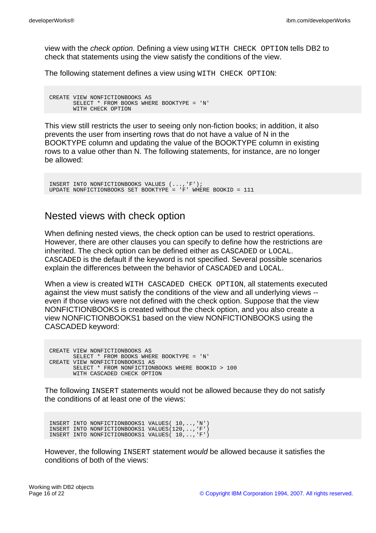view with the check option. Defining a view using WITH CHECK OPTION tells DB2 to check that statements using the view satisfy the conditions of the view.

The following statement defines a view using WITH CHECK OPTION:

CREATE VIEW NONFICTIONBOOKS AS SELECT \* FROM BOOKS WHERE BOOKTYPE = 'N' WITH CHECK OPTION

This view still restricts the user to seeing only non-fiction books; in addition, it also prevents the user from inserting rows that do not have a value of N in the BOOKTYPE column and updating the value of the BOOKTYPE column in existing rows to a value other than N. The following statements, for instance, are no longer be allowed:

```
INSERT INTO NONFICTIONBOOKS VALUES (...,'F');
UPDATE NONFICTIONBOOKS SET BOOKTYPE = 'F' WHERE BOOKID = 111
```
#### Nested views with check option

When defining nested views, the check option can be used to restrict operations. However, there are other clauses you can specify to define how the restrictions are inherited. The check option can be defined either as CASCADED or LOCAL. CASCADED is the default if the keyword is not specified. Several possible scenarios explain the differences between the behavior of CASCADED and LOCAL.

When a view is created WITH CASCADED CHECK OPTION, all statements executed against the view must satisfy the conditions of the view and all underlying views - even if those views were not defined with the check option. Suppose that the view NONFICTIONBOOKS is created without the check option, and you also create a view NONFICTIONBOOKS1 based on the view NONFICTIONBOOKS using the CASCADED keyword:

CREATE VIEW NONFICTIONBOOKS AS SELECT \* FROM BOOKS WHERE BOOKTYPE = 'N' CREATE VIEW NONFICTIONBOOKS1 AS SELECT \* FROM NONFICTIONBOOKS WHERE BOOKID > 100 WITH CASCADED CHECK OPTION

The following INSERT statements would not be allowed because they do not satisfy the conditions of at least one of the views:

INSERT INTO NONFICTIONBOOKS1 VALUES( 10,..,'N') INSERT INTO NONFICTIONBOOKS1 VALUES(120,..,'F') INSERT INTO NONFICTIONBOOKS1 VALUES( 10,..,'F')

However, the following INSERT statement would be allowed because it satisfies the conditions of both of the views: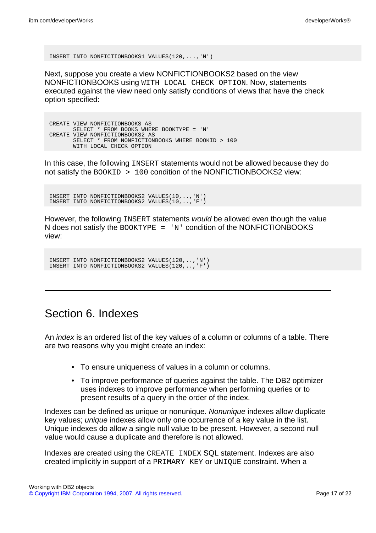INSERT INTO NONFICTIONBOOKS1 VALUES(120,...,'N')

Next, suppose you create a view NONFICTIONBOOKS2 based on the view NONFICTIONBOOKS using WITH LOCAL CHECK OPTION. Now, statements executed against the view need only satisfy conditions of views that have the check option specified:

CREATE VIEW NONFICTIONBOOKS AS SELECT \* FROM BOOKS WHERE BOOKTYPE = 'N' CREATE VIEW NONFICTIONBOOKS2 AS SELECT \* FROM NONFICTIONBOOKS WHERE BOOKID > 100 WITH LOCAL CHECK OPTION

In this case, the following INSERT statements would not be allowed because they do not satisfy the BOOKID > 100 condition of the NONFICTIONBOOKS2 view:

INSERT INTO NONFICTIONBOOKS2 VALUES(10,..,'N') INSERT INTO NONFICTIONBOOKS2 VALUES(10,..,'F')

However, the following INSERT statements would be allowed even though the value N does not satisfy the BOOKTYPE =  $'N'$  condition of the NONFICTIONBOOKS view:

INSERT INTO NONFICTIONBOOKS2 VALUES(120,..,'N') INSERT INTO NONFICTIONBOOKS2 VALUES(120,..,'F')

# Section 6. Indexes

An index is an ordered list of the key values of a column or columns of a table. There are two reasons why you might create an index:

- To ensure uniqueness of values in a column or columns.
- To improve performance of queries against the table. The DB2 optimizer uses indexes to improve performance when performing queries or to present results of a query in the order of the index.

Indexes can be defined as unique or nonunique. Nonunique indexes allow duplicate key values; unique indexes allow only one occurrence of a key value in the list. Unique indexes do allow a single null value to be present. However, a second null value would cause a duplicate and therefore is not allowed.

Indexes are created using the CREATE INDEX SQL statement. Indexes are also created implicitly in support of a PRIMARY KEY or UNIQUE constraint. When a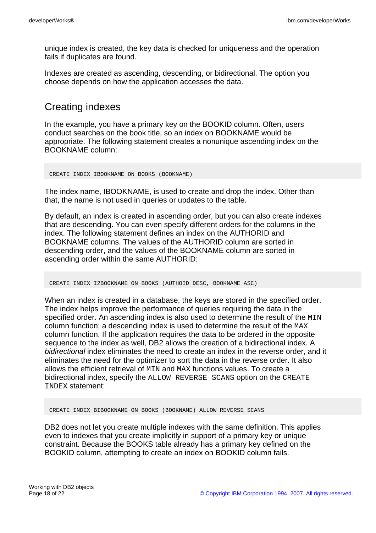unique index is created, the key data is checked for uniqueness and the operation fails if duplicates are found.

Indexes are created as ascending, descending, or bidirectional. The option you choose depends on how the application accesses the data.

### Creating indexes

In the example, you have a primary key on the BOOKID column. Often, users conduct searches on the book title, so an index on BOOKNAME would be appropriate. The following statement creates a nonunique ascending index on the BOOKNAME column:

CREATE INDEX IBOOKNAME ON BOOKS (BOOKNAME)

The index name, IBOOKNAME, is used to create and drop the index. Other than that, the name is not used in queries or updates to the table.

By default, an index is created in ascending order, but you can also create indexes that are descending. You can even specify different orders for the columns in the index. The following statement defines an index on the AUTHORID and BOOKNAME columns. The values of the AUTHORID column are sorted in descending order, and the values of the BOOKNAME column are sorted in ascending order within the same AUTHORID:

CREATE INDEX I2BOOKNAME ON BOOKS (AUTHOID DESC, BOOKNAME ASC)

When an index is created in a database, the keys are stored in the specified order. The index helps improve the performance of queries requiring the data in the specified order. An ascending index is also used to determine the result of the MIN column function; a descending index is used to determine the result of the MAX column function. If the application requires the data to be ordered in the opposite sequence to the index as well, DB2 allows the creation of a bidirectional index. A bidirectional index eliminates the need to create an index in the reverse order, and it eliminates the need for the optimizer to sort the data in the reverse order. It also allows the efficient retrieval of MIN and MAX functions values. To create a bidirectional index, specify the ALLOW REVERSE SCANS option on the CREATE INDEX statement:

CREATE INDEX BIBOOKNAME ON BOOKS (BOOKNAME) ALLOW REVERSE SCANS

DB2 does not let you create multiple indexes with the same definition. This applies even to indexes that you create implicitly in support of a primary key or unique constraint. Because the BOOKS table already has a primary key defined on the BOOKID column, attempting to create an index on BOOKID column fails.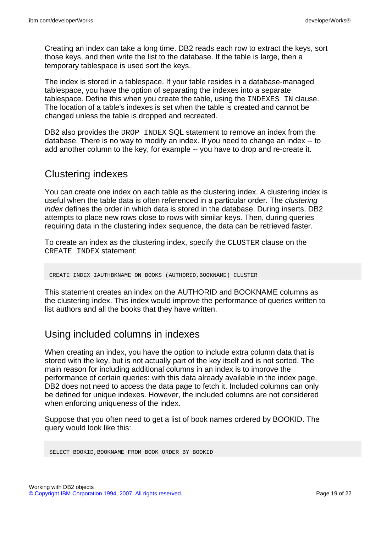Creating an index can take a long time. DB2 reads each row to extract the keys, sort those keys, and then write the list to the database. If the table is large, then a temporary tablespace is used sort the keys.

The index is stored in a tablespace. If your table resides in a database-managed tablespace, you have the option of separating the indexes into a separate tablespace. Define this when you create the table, using the INDEXES IN clause. The location of a table's indexes is set when the table is created and cannot be changed unless the table is dropped and recreated.

DB2 also provides the DROP INDEX SQL statement to remove an index from the database. There is no way to modify an index. If you need to change an index -- to add another column to the key, for example -- you have to drop and re-create it.

### Clustering indexes

You can create one index on each table as the clustering index. A clustering index is useful when the table data is often referenced in a particular order. The clustering index defines the order in which data is stored in the database. During inserts, DB2 attempts to place new rows close to rows with similar keys. Then, during queries requiring data in the clustering index sequence, the data can be retrieved faster.

To create an index as the clustering index, specify the CLUSTER clause on the CREATE INDEX statement:

CREATE INDEX IAUTHBKNAME ON BOOKS (AUTHORID,BOOKNAME) CLUSTER

This statement creates an index on the AUTHORID and BOOKNAME columns as the clustering index. This index would improve the performance of queries written to list authors and all the books that they have written.

### Using included columns in indexes

When creating an index, you have the option to include extra column data that is stored with the key, but is not actually part of the key itself and is not sorted. The main reason for including additional columns in an index is to improve the performance of certain queries: with this data already available in the index page, DB2 does not need to access the data page to fetch it. Included columns can only be defined for unique indexes. However, the included columns are not considered when enforcing uniqueness of the index.

Suppose that you often need to get a list of book names ordered by BOOKID. The query would look like this:

SELECT BOOKID,BOOKNAME FROM BOOK ORDER BY BOOKID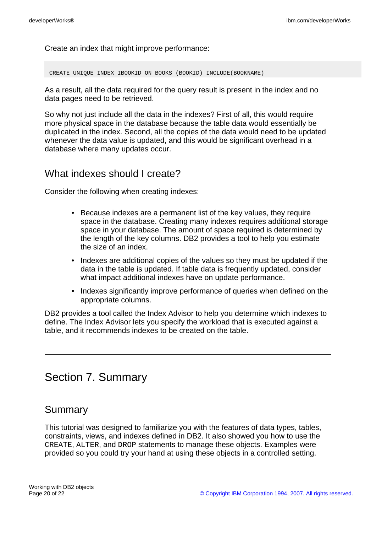Create an index that might improve performance:

CREATE UNIQUE INDEX IBOOKID ON BOOKS (BOOKID) INCLUDE(BOOKNAME)

As a result, all the data required for the query result is present in the index and no data pages need to be retrieved.

So why not just include all the data in the indexes? First of all, this would require more physical space in the database because the table data would essentially be duplicated in the index. Second, all the copies of the data would need to be updated whenever the data value is updated, and this would be significant overhead in a database where many updates occur.

#### What indexes should I create?

Consider the following when creating indexes:

- Because indexes are a permanent list of the key values, they require space in the database. Creating many indexes requires additional storage space in your database. The amount of space required is determined by the length of the key columns. DB2 provides a tool to help you estimate the size of an index.
- Indexes are additional copies of the values so they must be updated if the data in the table is updated. If table data is frequently updated, consider what impact additional indexes have on update performance.
- Indexes significantly improve performance of queries when defined on the appropriate columns.

DB2 provides a tool called the Index Advisor to help you determine which indexes to define. The Index Advisor lets you specify the workload that is executed against a table, and it recommends indexes to be created on the table.

# Section 7. Summary

#### Summary

This tutorial was designed to familiarize you with the features of data types, tables, constraints, views, and indexes defined in DB2. It also showed you how to use the CREATE, ALTER, and DROP statements to manage these objects. Examples were provided so you could try your hand at using these objects in a controlled setting.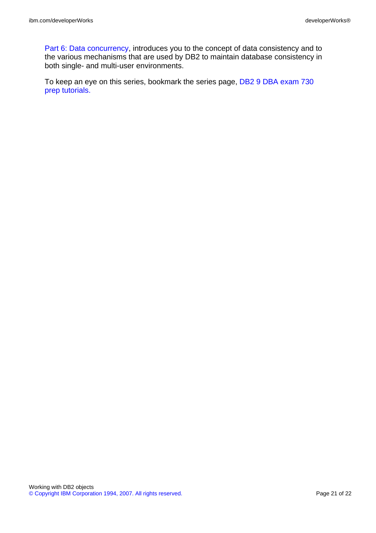[Part 6: Data concurrency,](http://www.ibm.com/developerworks/offers/lp/db2cert/db2-cert730.html?S_TACT=105AGX19&S_CMP=db2cert) introduces you to the concept of data consistency and to the various mechanisms that are used by DB2 to maintain database consistency in both single- and multi-user environments.

To keep an eye on this series, bookmark the series page, [DB2 9 DBA exam 730](http://www.ibm.com/developerworks/offers/lp/db2cert/db2-cert730.html?S_TACT=105AGX19&S_CMP=db2cert) [prep tutorials.](http://www.ibm.com/developerworks/offers/lp/db2cert/db2-cert730.html?S_TACT=105AGX19&S_CMP=db2cert)